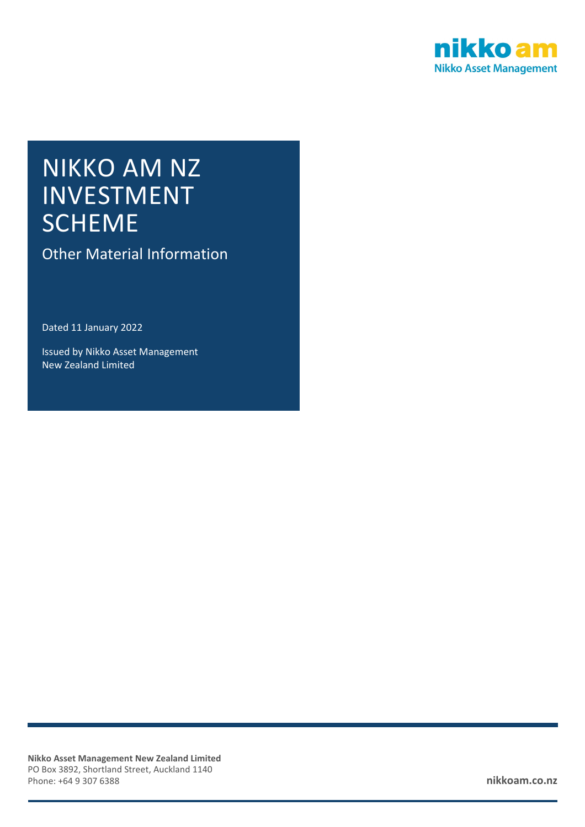

# NIKKO AM NZ INVESTMENT **SCHEME**

Other Material Information

Dated 11 January 2022

Issued by Nikko Asset Management New Zealand Limited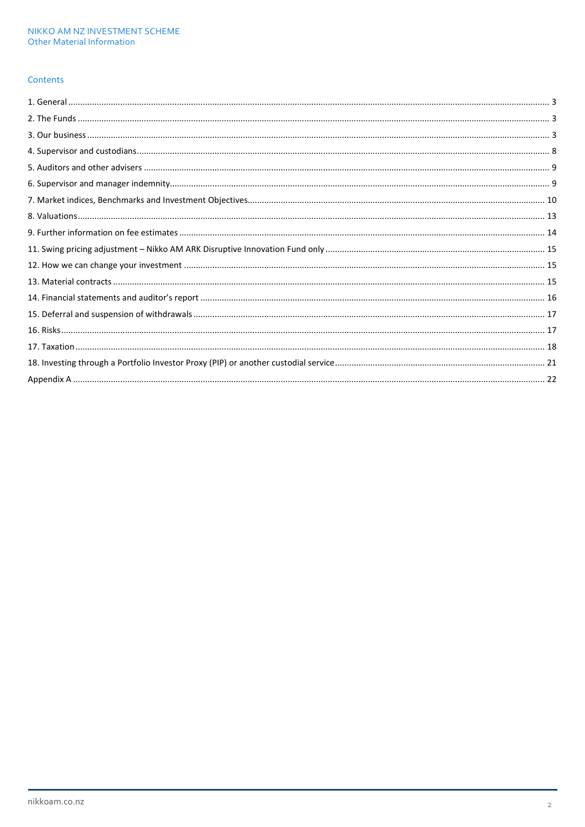### Contents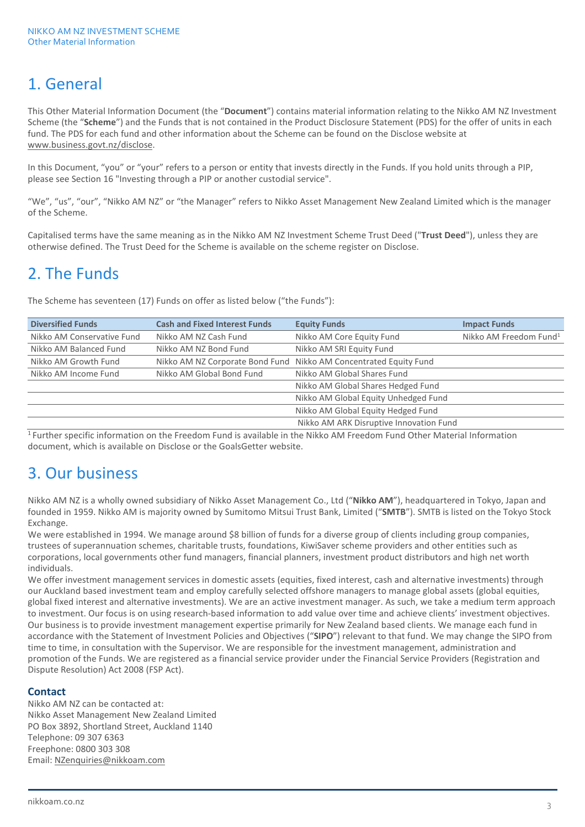# 1. General

This Other Material Information Document (the "**Document**") contains material information relating to the Nikko AM NZ Investment Scheme (the "**Scheme**") and the Funds that is not contained in the Product Disclosure Statement (PDS) for the offer of units in each fund. The PDS for each fund and other information about the Scheme can be found on the Disclose website at [www.business.govt.nz/disclose.](http://www.business.govt.nz/disclose)

In this Document, "you" or "your" refers to a person or entity that invests directly in the Funds. If you hold units through a PIP, please see Section 16 "Investing through a PIP or another custodial service".

"We", "us", "our", "Nikko AM NZ" or "the Manager" refers to Nikko Asset Management New Zealand Limited which is the manager of the Scheme.

Capitalised terms have the same meaning as in the Nikko AM NZ Investment Scheme Trust Deed ("**Trust Deed**"), unless they are otherwise defined. The Trust Deed for the Scheme is available on the scheme register on Disclose.

# 2. The Funds

The Scheme has seventeen (17) Funds on offer as listed below ("the Funds"):

| <b>Diversified Funds</b>   | <b>Cash and Fixed Interest Funds</b> | <b>Equity Funds</b>                                               | <b>Impact Funds</b>                |
|----------------------------|--------------------------------------|-------------------------------------------------------------------|------------------------------------|
| Nikko AM Conservative Fund | Nikko AM NZ Cash Fund                | Nikko AM Core Equity Fund                                         | Nikko AM Freedom Fund <sup>1</sup> |
| Nikko AM Balanced Fund     | Nikko AM NZ Bond Fund                | Nikko AM SRI Equity Fund                                          |                                    |
| Nikko AM Growth Fund       |                                      | Nikko AM NZ Corporate Bond Fund Nikko AM Concentrated Equity Fund |                                    |
| Nikko AM Income Fund       | Nikko AM Global Bond Fund            | Nikko AM Global Shares Fund                                       |                                    |
|                            |                                      | Nikko AM Global Shares Hedged Fund                                |                                    |
|                            |                                      | Nikko AM Global Equity Unhedged Fund                              |                                    |
|                            |                                      | Nikko AM Global Equity Hedged Fund                                |                                    |
|                            |                                      | Nikko AM ARK Disruptive Innovation Fund                           |                                    |

<sup>1</sup> Further specific information on the Freedom Fund is available in the Nikko AM Freedom Fund Other Material Information document, which is available on Disclose or the GoalsGetter website.

# 3. Our business

Nikko AM NZ is a wholly owned subsidiary of Nikko Asset Management Co., Ltd ("**Nikko AM**"), headquartered in Tokyo, Japan and founded in 1959. Nikko AM is majority owned by Sumitomo Mitsui Trust Bank, Limited ("**SMTB**"). SMTB is listed on the Tokyo Stock Exchange.

We were established in 1994. We manage around \$8 billion of funds for a diverse group of clients including group companies, trustees of superannuation schemes, charitable trusts, foundations, KiwiSaver scheme providers and other entities such as corporations, local governments other fund managers, financial planners, investment product distributors and high net worth individuals.

We offer investment management services in domestic assets (equities, fixed interest, cash and alternative investments) through our Auckland based investment team and employ carefully selected offshore managers to manage global assets (global equities, global fixed interest and alternative investments). We are an active investment manager. As such, we take a medium term approach to investment. Our focus is on using research-based information to add value over time and achieve clients' investment objectives. Our business is to provide investment management expertise primarily for New Zealand based clients. We manage each fund in accordance with the Statement of Investment Policies and Objectives ("**SIPO**") relevant to that fund. We may change the SIPO from time to time, in consultation with the Supervisor. We are responsible for the investment management, administration and promotion of the Funds. We are registered as a financial service provider under the Financial Service Providers (Registration and Dispute Resolution) Act 2008 (FSP Act).

### **Contact**

Nikko AM NZ can be contacted at: Nikko Asset Management New Zealand Limited PO Box 3892, Shortland Street, Auckland 1140 Telephone: 09 307 6363 Freephone: 0800 303 308 Email[: NZenquiries@nikkoam.com](mailto:NZenquiries@nikkoam.com)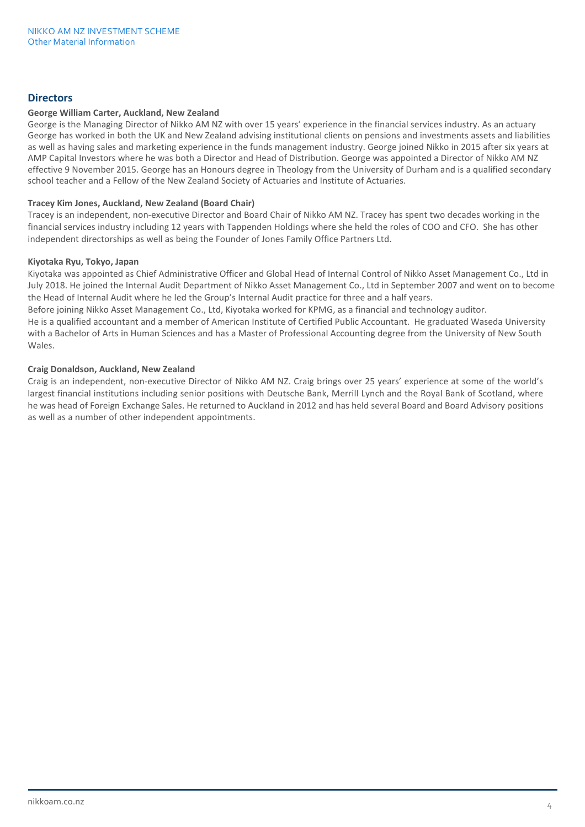### **Directors**

### **George William Carter, Auckland, New Zealand**

George is the Managing Director of Nikko AM NZ with over 15 years' experience in the financial services industry. As an actuary George has worked in both the UK and New Zealand advising institutional clients on pensions and investments assets and liabilities as well as having sales and marketing experience in the funds management industry. George joined Nikko in 2015 after six years at AMP Capital Investors where he was both a Director and Head of Distribution. George was appointed a Director of Nikko AM NZ effective 9 November 2015. George has an Honours degree in Theology from the University of Durham and is a qualified secondary school teacher and a Fellow of the New Zealand Society of Actuaries and Institute of Actuaries.

#### **Tracey Kim Jones, Auckland, New Zealand (Board Chair)**

Tracey is an independent, non-executive Director and Board Chair of Nikko AM NZ. Tracey has spent two decades working in the financial services industry including 12 years with Tappenden Holdings where she held the roles of COO and CFO. She has other independent directorships as well as being the Founder of Jones Family Office Partners Ltd.

#### **Kiyotaka Ryu, Tokyo, Japan**

Kiyotaka was appointed as Chief Administrative Officer and Global Head of Internal Control of Nikko Asset Management Co., Ltd in July 2018. He joined the Internal Audit Department of Nikko Asset Management Co., Ltd in September 2007 and went on to become the Head of Internal Audit where he led the Group's Internal Audit practice for three and a half years.

Before joining Nikko Asset Management Co., Ltd, Kiyotaka worked for KPMG, as a financial and technology auditor. He is a qualified accountant and a member of American Institute of Certified Public Accountant. He graduated Waseda University with a Bachelor of Arts in Human Sciences and has a Master of Professional Accounting degree from the University of New South Wales.

### **Craig Donaldson, Auckland, New Zealand**

Craig is an independent, non-executive Director of Nikko AM NZ. Craig brings over 25 years' experience at some of the world's largest financial institutions including senior positions with Deutsche Bank, Merrill Lynch and the Royal Bank of Scotland, where he was head of Foreign Exchange Sales. He returned to Auckland in 2012 and has held several Board and Board Advisory positions as well as a number of other independent appointments.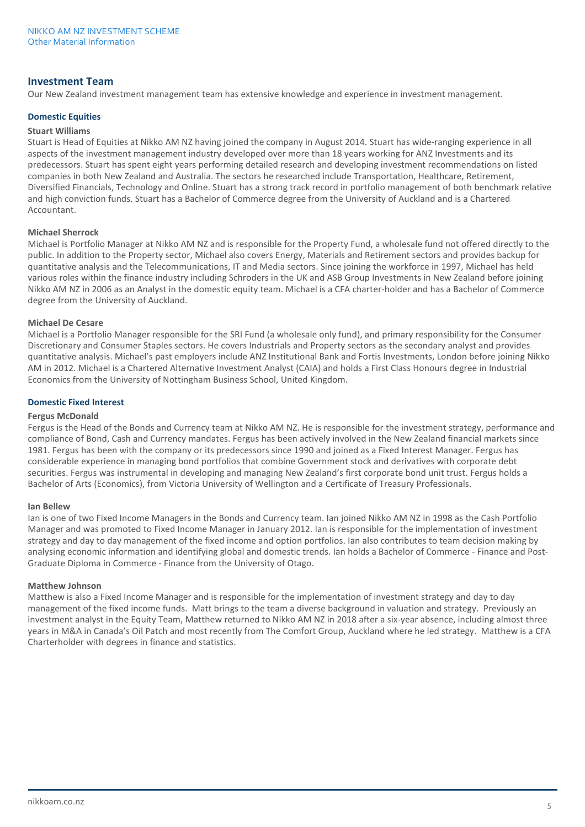### **Investment Team**

Our New Zealand investment management team has extensive knowledge and experience in investment management.

### **Domestic Equities**

### **Stuart Williams**

Stuart is Head of Equities at Nikko AM NZ having joined the company in August 2014. Stuart has wide-ranging experience in all aspects of the investment management industry developed over more than 18 years working for ANZ Investments and its predecessors. Stuart has spent eight years performing detailed research and developing investment recommendations on listed companies in both New Zealand and Australia. The sectors he researched include Transportation, Healthcare, Retirement, Diversified Financials, Technology and Online. Stuart has a strong track record in portfolio management of both benchmark relative and high conviction funds. Stuart has a Bachelor of Commerce degree from the University of Auckland and is a Chartered Accountant.

#### **Michael Sherrock**

Michael is Portfolio Manager at Nikko AM NZ and is responsible for the Property Fund, a wholesale fund not offered directly to the public. In addition to the Property sector, Michael also covers Energy, Materials and Retirement sectors and provides backup for quantitative analysis and the Telecommunications, IT and Media sectors. Since joining the workforce in 1997, Michael has held various roles within the finance industry including Schroders in the UK and ASB Group Investments in New Zealand before joining Nikko AM NZ in 2006 as an Analyst in the domestic equity team. Michael is a CFA charter-holder and has a Bachelor of Commerce degree from the University of Auckland.

#### **Michael De Cesare**

Michael is a Portfolio Manager responsible for the SRI Fund (a wholesale only fund), and primary responsibility for the Consumer Discretionary and Consumer Staples sectors. He covers Industrials and Property sectors as the secondary analyst and provides quantitative analysis. Michael's past employers include ANZ Institutional Bank and Fortis Investments, London before joining Nikko AM in 2012. Michael is a Chartered Alternative Investment Analyst (CAIA) and holds a First Class Honours degree in Industrial Economics from the University of Nottingham Business School, United Kingdom.

#### **Domestic Fixed Interest**

#### **Fergus McDonald**

Fergus is the Head of the Bonds and Currency team at Nikko AM NZ. He is responsible for the investment strategy, performance and compliance of Bond, Cash and Currency mandates. Fergus has been actively involved in the New Zealand financial markets since 1981. Fergus has been with the company or its predecessors since 1990 and joined as a Fixed Interest Manager. Fergus has considerable experience in managing bond portfolios that combine Government stock and derivatives with corporate debt securities. Fergus was instrumental in developing and managing New Zealand's first corporate bond unit trust. Fergus holds a Bachelor of Arts (Economics), from Victoria University of Wellington and a Certificate of Treasury Professionals.

#### **Ian Bellew**

Ian is one of two Fixed Income Managers in the Bonds and Currency team. Ian joined Nikko AM NZ in 1998 as the Cash Portfolio Manager and was promoted to Fixed Income Manager in January 2012. Ian is responsible for the implementation of investment strategy and day to day management of the fixed income and option portfolios. Ian also contributes to team decision making by analysing economic information and identifying global and domestic trends. Ian holds a Bachelor of Commerce - Finance and Post-Graduate Diploma in Commerce - Finance from the University of Otago.

#### **Matthew Johnson**

Matthew is also a Fixed Income Manager and is responsible for the implementation of investment strategy and day to day management of the fixed income funds. Matt brings to the team a diverse background in valuation and strategy. Previously an investment analyst in the Equity Team, Matthew returned to Nikko AM NZ in 2018 after a six-year absence, including almost three years in M&A in Canada's Oil Patch and most recently from The Comfort Group, Auckland where he led strategy. Matthew is a CFA Charterholder with degrees in finance and statistics.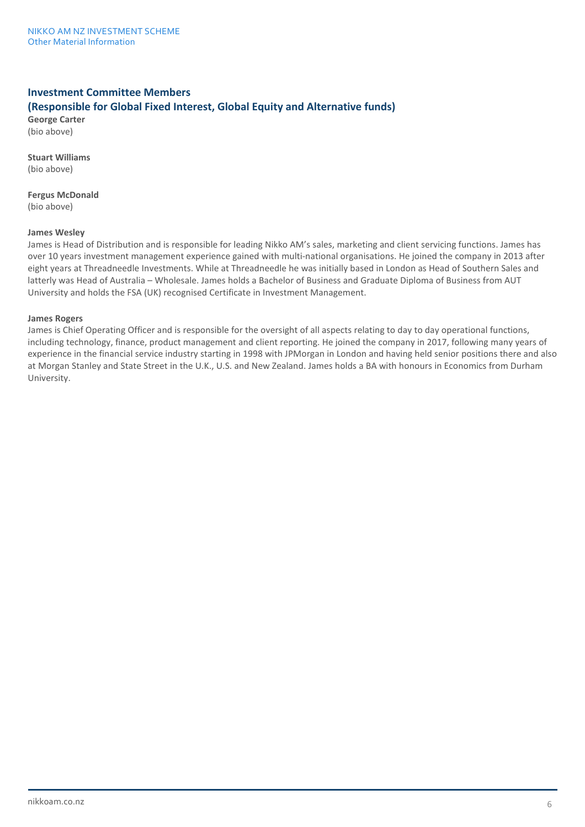# **Investment Committee Members (Responsible for Global Fixed Interest, Global Equity and Alternative funds)**

**George Carter** (bio above)

**Stuart Williams**

(bio above)

**Fergus McDonald**

(bio above)

### **James Wesley**

James is Head of Distribution and is responsible for leading Nikko AM's sales, marketing and client servicing functions. James has over 10 years investment management experience gained with multi-national organisations. He joined the company in 2013 after eight years at Threadneedle Investments. While at Threadneedle he was initially based in London as Head of Southern Sales and latterly was Head of Australia – Wholesale. James holds a Bachelor of Business and Graduate Diploma of Business from AUT University and holds the FSA (UK) recognised Certificate in Investment Management.

### **James Rogers**

James is Chief Operating Officer and is responsible for the oversight of all aspects relating to day to day operational functions, including technology, finance, product management and client reporting. He joined the company in 2017, following many years of experience in the financial service industry starting in 1998 with JPMorgan in London and having held senior positions there and also at Morgan Stanley and State Street in the U.K., U.S. and New Zealand. James holds a BA with honours in Economics from Durham University.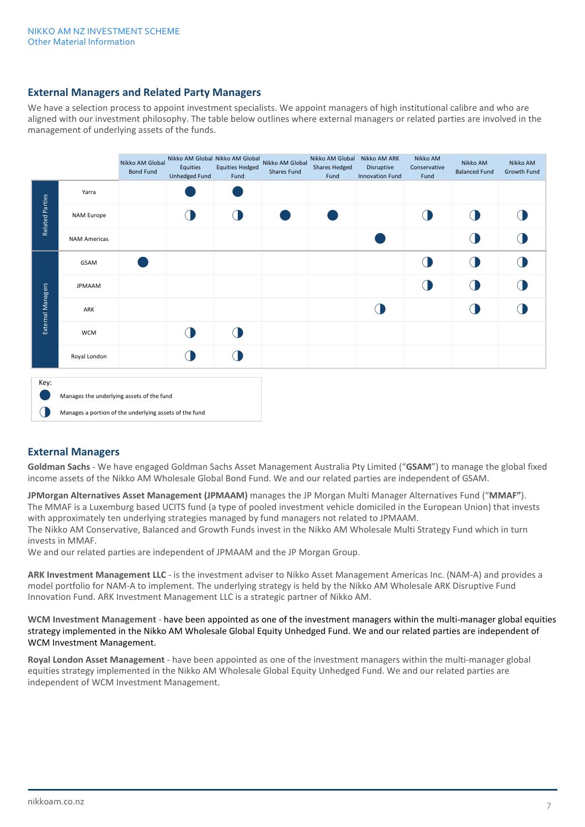### **External Managers and Related Party Managers**

We have a selection process to appoint investment specialists. We appoint managers of high institutional calibre and who are aligned with our investment philosophy. The table below outlines where external managers or related parties are involved in the management of underlying assets of the funds.

|                        |                                                        | Nikko AM Global<br><b>Bond Fund</b> | Equities<br>Unhedged Fund | Nikko AM Global Nikko AM Global<br><b>Equities Hedged</b><br>Fund | Nikko AM Global<br>Shares Fund | Nikko AM Global<br>Shares Hedged<br>Fund | Nikko AM ARK<br>Disruptive<br><b>Innovation Fund</b> | Nikko AM<br>Conservative<br>Fund | Nikko AM<br><b>Balanced Fund</b> | Nikko AM<br>Growth Fund |
|------------------------|--------------------------------------------------------|-------------------------------------|---------------------------|-------------------------------------------------------------------|--------------------------------|------------------------------------------|------------------------------------------------------|----------------------------------|----------------------------------|-------------------------|
|                        | Yarra                                                  |                                     |                           |                                                                   |                                |                                          |                                                      |                                  |                                  |                         |
| <b>Related Parties</b> | NAM Europe                                             |                                     |                           |                                                                   |                                |                                          |                                                      | ⋂                                |                                  |                         |
|                        | <b>NAM Americas</b>                                    |                                     |                           |                                                                   |                                |                                          |                                                      |                                  |                                  |                         |
|                        | GSAM                                                   |                                     |                           |                                                                   |                                |                                          |                                                      | $\bigcap$                        |                                  |                         |
|                        | <b>JPMAAM</b>                                          |                                     |                           |                                                                   |                                |                                          |                                                      | <b>O</b>                         |                                  |                         |
| External Managers      | ARK                                                    |                                     |                           |                                                                   |                                |                                          |                                                      |                                  |                                  |                         |
|                        | <b>WCM</b>                                             |                                     |                           |                                                                   |                                |                                          |                                                      |                                  |                                  |                         |
|                        | Royal London                                           |                                     |                           |                                                                   |                                |                                          |                                                      |                                  |                                  |                         |
| Key:                   |                                                        |                                     |                           |                                                                   |                                |                                          |                                                      |                                  |                                  |                         |
|                        | Manages the underlying assets of the fund              |                                     |                           |                                                                   |                                |                                          |                                                      |                                  |                                  |                         |
|                        | Manages a portion of the underlying assets of the fund |                                     |                           |                                                                   |                                |                                          |                                                      |                                  |                                  |                         |



# **External Managers**

**Goldman Sachs** - We have engaged Goldman Sachs Asset Management Australia Pty Limited ("**GSAM**") to manage the global fixed income assets of the Nikko AM Wholesale Global Bond Fund. We and our related parties are independent of GSAM.

**JPMorgan Alternatives Asset Management (JPMAAM)** manages the JP Morgan Multi Manager Alternatives Fund ("**MMAF"**). The MMAF is a Luxemburg based UCITS fund (a type of pooled investment vehicle domiciled in the European Union) that invests with approximately ten underlying strategies managed by fund managers not related to JPMAAM. The Nikko AM Conservative, Balanced and Growth Funds invest in the Nikko AM Wholesale Multi Strategy Fund which in turn invests in MMAF.

We and our related parties are independent of JPMAAM and the JP Morgan Group.

**ARK Investment Management LLC** - is the investment adviser to Nikko Asset Management Americas Inc. (NAM-A) and provides a model portfolio for NAM-A to implement. The underlying strategy is held by the Nikko AM Wholesale ARK Disruptive Fund Innovation Fund. ARK Investment Management LLC is a strategic partner of Nikko AM.

**WCM Investment Management** - have been appointed as one of the investment managers within the multi-manager global equities strategy implemented in the Nikko AM Wholesale Global Equity Unhedged Fund. We and our related parties are independent of WCM Investment Management.

**Royal London Asset Management** - have been appointed as one of the investment managers within the multi-manager global equities strategy implemented in the Nikko AM Wholesale Global Equity Unhedged Fund. We and our related parties are independent of WCM Investment Management.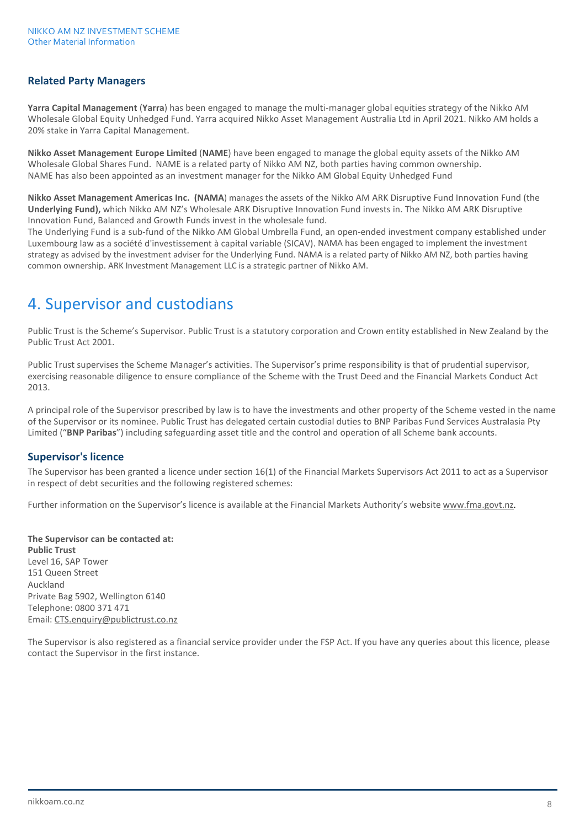# **Related Party Managers**

**Yarra Capital Management** (**Yarra**) has been engaged to manage the multi-manager global equities strategy of the Nikko AM Wholesale Global Equity Unhedged Fund. Yarra acquired Nikko Asset Management Australia Ltd in April 2021. Nikko AM holds a 20% stake in Yarra Capital Management.

**Nikko Asset Management Europe Limited** (**NAME**) have been engaged to manage the global equity assets of the Nikko AM Wholesale Global Shares Fund. NAME is a related party of Nikko AM NZ, both parties having common ownership. NAME has also been appointed as an investment manager for the Nikko AM Global Equity Unhedged Fund

**Nikko Asset Management Americas Inc. (NAMA**) manages the assets of the Nikko AM ARK Disruptive Fund Innovation Fund (the **Underlying Fund),** which Nikko AM NZ's Wholesale ARK Disruptive Innovation Fund invests in. The Nikko AM ARK Disruptive Innovation Fund, Balanced and Growth Funds invest in the wholesale fund.

The Underlying Fund is a sub-fund of the Nikko AM Global Umbrella Fund, an open-ended investment company established under Luxembourg law as a société d'investissement à capital variable (SICAV). NAMA has been engaged to implement the investment strategy as advised by the investment adviser for the Underlying Fund. NAMA is a related party of Nikko AM NZ, both parties having common ownership. ARK Investment Management LLC is a strategic partner of Nikko AM.

# 4. Supervisor and custodians

Public Trust is the Scheme's Supervisor. Public Trust is a statutory corporation and Crown entity established in New Zealand by the Public Trust Act 2001.

Public Trust supervises the Scheme Manager's activities. The Supervisor's prime responsibility is that of prudential supervisor, exercising reasonable diligence to ensure compliance of the Scheme with the Trust Deed and the Financial Markets Conduct Act 2013.

A principal role of the Supervisor prescribed by law is to have the investments and other property of the Scheme vested in the name of the Supervisor or its nominee. Public Trust has delegated certain custodial duties to BNP Paribas Fund Services Australasia Pty Limited ("**BNP Paribas**") including safeguarding asset title and the control and operation of all Scheme bank accounts.

# **Supervisor's licence**

The Supervisor has been granted a licence under section 16(1) of the Financial Markets Supervisors Act 2011 to act as a Supervisor in respect of debt securities and the following registered schemes:

Further information on the Supervisor's licence is available at the Financial Markets Authority's website [www.fma.govt.nz.](http://www.fma.govt.nz/) 

**The Supervisor can be contacted at: Public Trust** Level 16, SAP Tower 151 Queen Street Auckland Private Bag 5902, Wellington 6140 Telephone: 0800 371 471 Email[: CTS.enquiry@publictrust.co.nz](mailto:CTS.enquiry@publictrust.co.nz)

The Supervisor is also registered as a financial service provider under the FSP Act. If you have any queries about this licence, please contact the Supervisor in the first instance.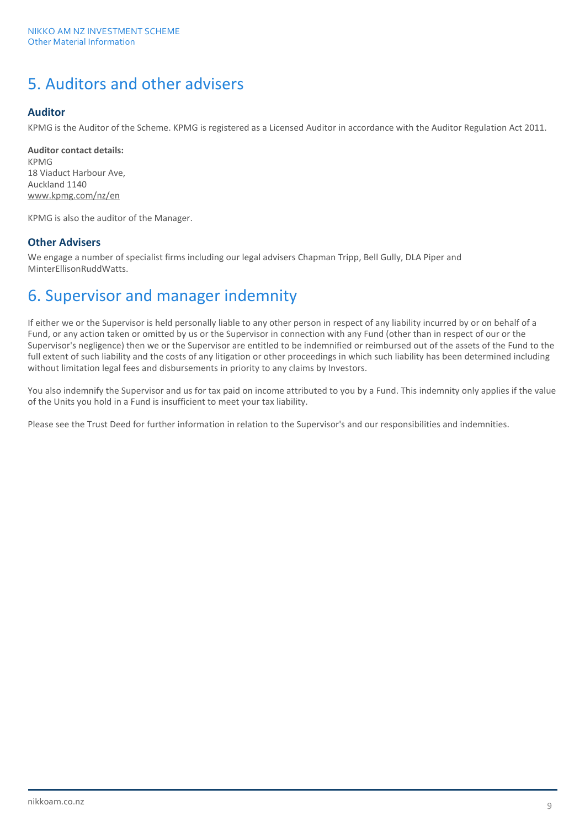# 5. Auditors and other advisers

# **Auditor**

KPMG is the Auditor of the Scheme. KPMG is registered as a Licensed Auditor in accordance with the Auditor Regulation Act 2011.

**Auditor contact details:** KPMG 18 Viaduct Harbour Ave, Auckland 1140 [www.kpmg.com/nz/en](http://www.kpmg.com/nz/en) 

KPMG is also the auditor of the Manager.

# **Other Advisers**

We engage a number of specialist firms including our legal advisers Chapman Tripp, Bell Gully, DLA Piper and MinterEllisonRuddWatts.

# 6. Supervisor and manager indemnity

If either we or the Supervisor is held personally liable to any other person in respect of any liability incurred by or on behalf of a Fund, or any action taken or omitted by us or the Supervisor in connection with any Fund (other than in respect of our or the Supervisor's negligence) then we or the Supervisor are entitled to be indemnified or reimbursed out of the assets of the Fund to the full extent of such liability and the costs of any litigation or other proceedings in which such liability has been determined including without limitation legal fees and disbursements in priority to any claims by Investors.

You also indemnify the Supervisor and us for tax paid on income attributed to you by a Fund. This indemnity only applies if the value of the Units you hold in a Fund is insufficient to meet your tax liability.

Please see the Trust Deed for further information in relation to the Supervisor's and our responsibilities and indemnities.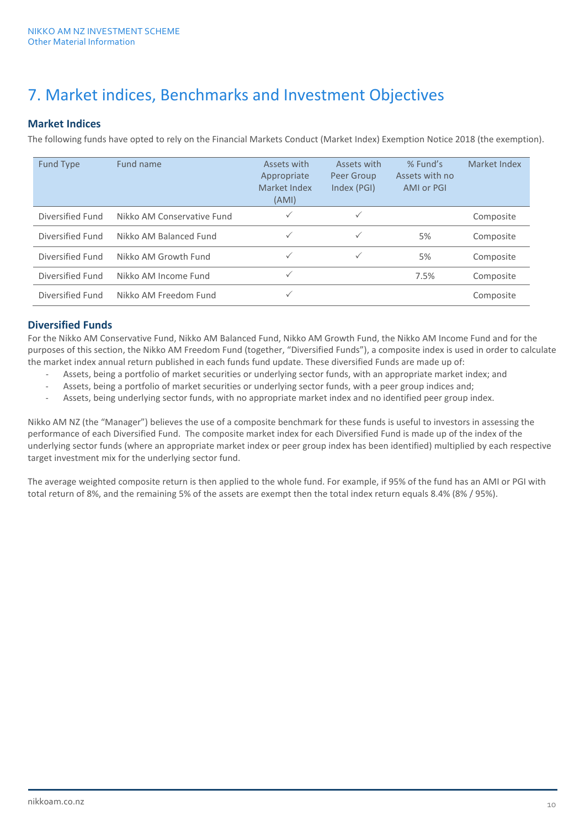# 7. Market indices, Benchmarks and Investment Objectives

# **Market Indices**

The following funds have opted to rely on the Financial Markets Conduct (Market Index) Exemption Notice 2018 (the exemption).

| <b>Fund Type</b> | Fund name                  | Assets with<br>Appropriate<br>Market Index<br>(AMI) | Assets with<br>Peer Group<br>Index (PGI) | % Fund's<br>Assets with no<br>AMI or PGI | Market Index |
|------------------|----------------------------|-----------------------------------------------------|------------------------------------------|------------------------------------------|--------------|
| Diversified Fund | Nikko AM Conservative Fund | $\checkmark$                                        | $\checkmark$                             |                                          | Composite    |
| Diversified Fund | Nikko AM Balanced Fund     | $\checkmark$                                        | $\checkmark$                             | 5%                                       | Composite    |
| Diversified Fund | Nikko AM Growth Fund       | $\checkmark$                                        | $\checkmark$                             | 5%                                       | Composite    |
| Diversified Fund | Nikko AM Income Fund       | $\checkmark$                                        |                                          | 7.5%                                     | Composite    |
| Diversified Fund | Nikko AM Freedom Fund      | $\checkmark$                                        |                                          |                                          | Composite    |

# **Diversified Funds**

For the Nikko AM Conservative Fund, Nikko AM Balanced Fund, Nikko AM Growth Fund, the Nikko AM Income Fund and for the purposes of this section, the Nikko AM Freedom Fund (together, "Diversified Funds"), a composite index is used in order to calculate the market index annual return published in each funds fund update. These diversified Funds are made up of:

- Assets, being a portfolio of market securities or underlying sector funds, with an appropriate market index; and
- Assets, being a portfolio of market securities or underlying sector funds, with a peer group indices and;
- Assets, being underlying sector funds, with no appropriate market index and no identified peer group index.

Nikko AM NZ (the "Manager") believes the use of a composite benchmark for these funds is useful to investors in assessing the performance of each Diversified Fund. The composite market index for each Diversified Fund is made up of the index of the underlying sector funds (where an appropriate market index or peer group index has been identified) multiplied by each respective target investment mix for the underlying sector fund.

The average weighted composite return is then applied to the whole fund. For example, if 95% of the fund has an AMI or PGI with total return of 8%, and the remaining 5% of the assets are exempt then the total index return equals 8.4% (8% / 95%).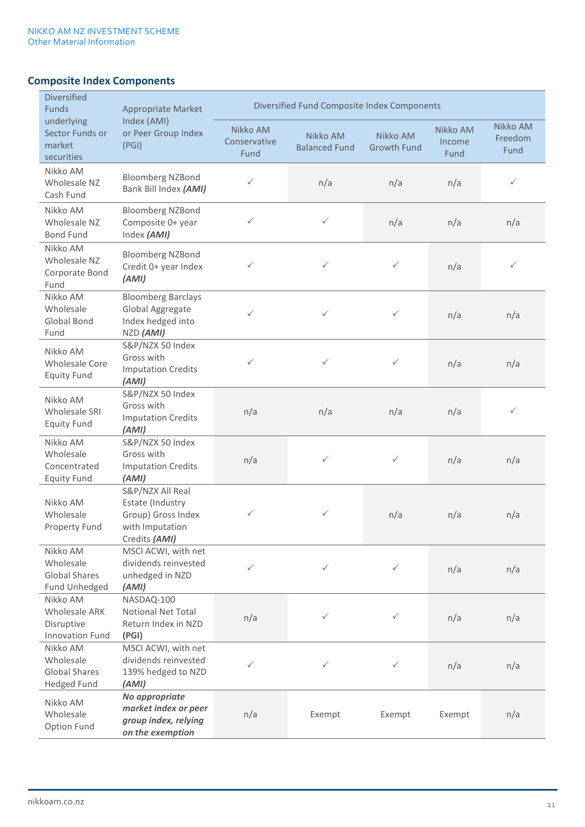# **Composite Index Components**

| <b>Diversified</b><br>Funds                                         | <b>Appropriate Market</b>                                                                      | Diversified Fund Composite Index Components |                                  |                                |                            |                             |
|---------------------------------------------------------------------|------------------------------------------------------------------------------------------------|---------------------------------------------|----------------------------------|--------------------------------|----------------------------|-----------------------------|
| underlying<br>Sector Funds or<br>market<br>securities               | Index (AMI)<br>or Peer Group Index<br>(PGI)                                                    | Nikko AM<br>Conservative<br>Fund            | Nikko AM<br><b>Balanced Fund</b> | Nikko AM<br><b>Growth Fund</b> | Nikko AM<br>Income<br>Fund | Nikko AM<br>Freedom<br>Fund |
| Nikko AM<br>Wholesale NZ<br>Cash Fund                               | <b>Bloomberg NZBond</b><br>Bank Bill Index (AMI)                                               | ✓                                           | n/a                              | n/a                            | n/a                        | $\checkmark$                |
| Nikko AM<br>Wholesale NZ<br><b>Bond Fund</b>                        | <b>Bloomberg NZBond</b><br>Composite 0+ year<br>Index (AMI)                                    | $\checkmark$                                | $\checkmark$                     | n/a                            | n/a                        | n/a                         |
| Nikko AM<br>Wholesale NZ<br>Corporate Bond<br>Fund                  | <b>Bloomberg NZBond</b><br>Credit 0+ year Index<br>(AMI)                                       | $\checkmark$                                | $\checkmark$                     | $\checkmark$                   | n/a                        | $\checkmark$                |
| Nikko AM<br>Wholesale<br><b>Global Bond</b><br>Fund                 | <b>Bloomberg Barclays</b><br>Global Aggregate<br>Index hedged into<br>NZD (AMI)                | $\checkmark$                                | $\checkmark$                     | $\checkmark$                   | n/a                        | n/a                         |
| Nikko AM<br>Wholesale Core<br><b>Equity Fund</b>                    | S&P/NZX 50 Index<br>Gross with<br><b>Imputation Credits</b><br>(AMI)                           | $\checkmark$                                | $\checkmark$                     | $\checkmark$                   | n/a                        | n/a                         |
| Nikko AM<br>Wholesale SRI<br><b>Equity Fund</b>                     | S&P/NZX 50 Index<br>Gross with<br><b>Imputation Credits</b><br>(AMI)                           | n/a                                         | n/a                              | n/a                            | n/a                        | $\checkmark$                |
| Nikko AM<br>Wholesale<br>Concentrated<br><b>Equity Fund</b>         | S&P/NZX 50 Index<br>Gross with<br><b>Imputation Credits</b><br>(AMI)                           | n/a                                         | $\checkmark$                     | $\checkmark$                   | n/a                        | n/a                         |
| Nikko AM<br>Wholesale<br>Property Fund                              | S&P/NZX All Real<br>Estate (Industry<br>Group) Gross Index<br>with Imputation<br>Credits (AMI) | ✓                                           | ✓                                | n/a                            | n/a                        | n/a                         |
| Nikko AM<br>Wholesale<br><b>Global Shares</b><br>Fund Unhedged      | MSCI ACWI, with net<br>dividends reinvested<br>unhedged in NZD<br>(AMI)                        | $\checkmark$                                | $\checkmark$                     | $\checkmark$                   | n/a                        | n/a                         |
| Nikko AM<br><b>Wholesale ARK</b><br>Disruptive<br>Innovation Fund   | NASDAQ-100<br>Notional Net Total<br>Return Index in NZD<br>(PGI)                               | n/a                                         | ✓                                | $\checkmark$                   | n/a                        | n/a                         |
| Nikko AM<br>Wholesale<br><b>Global Shares</b><br><b>Hedged Fund</b> | MSCI ACWI, with net<br>dividends reinvested<br>139% hedged to NZD<br>(AMI)                     | $\checkmark$                                | ✓                                | $\checkmark$                   | n/a                        | n/a                         |
| Nikko AM<br>Wholesale<br>Option Fund                                | No appropriate<br>market index or peer<br>group index, relying<br>on the exemption             | n/a                                         | Exempt                           | Exempt                         | Exempt                     | n/a                         |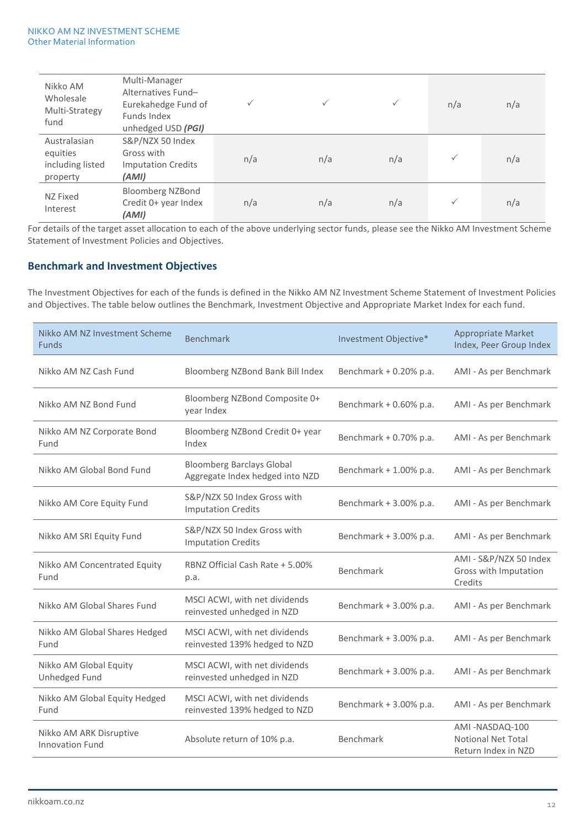| Nikko AM<br>Wholesale<br>Multi-Strategy<br>fund          | Multi-Manager<br>Alternatives Fund-<br>Eurekahedge Fund of<br>Funds Index<br>unhedged USD (PGI) | $\checkmark$ | $\checkmark$ | $\checkmark$ | n/a          | n/a |
|----------------------------------------------------------|-------------------------------------------------------------------------------------------------|--------------|--------------|--------------|--------------|-----|
| Australasian<br>equities<br>including listed<br>property | S&P/NZX 50 Index<br>Gross with<br><b>Imputation Credits</b><br>(AMI)                            | n/a          | n/a          | n/a          | $\checkmark$ | n/a |
| NZ Fixed<br>Interest                                     | Bloomberg NZBond<br>Credit 0+ year Index<br>(AMI)                                               | n/a          | n/a          | n/a          | $\checkmark$ | n/a |

For details of the target asset allocation to each of the above underlying sector funds, please see the Nikko AM Investment Scheme Statement of Investment Policies and Objectives.

### **Benchmark and Investment Objectives**

The Investment Objectives for each of the funds is defined in the Nikko AM NZ Investment Scheme Statement of Investment Policies and Objectives. The table below outlines the Benchmark, Investment Objective and Appropriate Market Index for each fund.

| Nikko AM NZ Investment Scheme<br><b>Funds</b>     | <b>Benchmark</b>                                                    | Investment Objective*  | <b>Appropriate Market</b><br>Index, Peer Group Index               |
|---------------------------------------------------|---------------------------------------------------------------------|------------------------|--------------------------------------------------------------------|
| Nikko AM NZ Cash Fund                             | Bloomberg NZBond Bank Bill Index                                    | Benchmark + 0.20% p.a. | AMI - As per Benchmark                                             |
| Nikko AM NZ Bond Fund                             | Bloomberg NZBond Composite 0+<br>year Index                         | Benchmark + 0.60% p.a. | AMI - As per Benchmark                                             |
| Nikko AM NZ Corporate Bond<br>Fund                | Bloomberg NZBond Credit 0+ year<br>Index                            | Benchmark + 0.70% p.a. | AMI - As per Benchmark                                             |
| Nikko AM Global Bond Fund                         | <b>Bloomberg Barclays Global</b><br>Aggregate Index hedged into NZD | Benchmark + 1.00% p.a. | AMI - As per Benchmark                                             |
| Nikko AM Core Equity Fund                         | S&P/NZX 50 Index Gross with<br><b>Imputation Credits</b>            | Benchmark + 3.00% p.a. | AMI - As per Benchmark                                             |
| Nikko AM SRI Equity Fund                          | S&P/NZX 50 Index Gross with<br><b>Imputation Credits</b>            | Benchmark + 3.00% p.a. | AMI - As per Benchmark                                             |
| Nikko AM Concentrated Equity<br>Fund              | RBNZ Official Cash Rate + 5.00%<br>p.a.                             | Benchmark              | AMI - S&P/NZX 50 Index<br>Gross with Imputation<br>Credits         |
| Nikko AM Global Shares Fund                       | MSCI ACWI, with net dividends<br>reinvested unhedged in NZD         | Benchmark + 3.00% p.a. | AMI - As per Benchmark                                             |
| Nikko AM Global Shares Hedged<br>Fund             | MSCI ACWI, with net dividends<br>reinvested 139% hedged to NZD      | Benchmark + 3.00% p.a. | AMI - As per Benchmark                                             |
| Nikko AM Global Equity<br>Unhedged Fund           | MSCI ACWI, with net dividends<br>reinvested unhedged in NZD         | Benchmark + 3.00% p.a. | AMI - As per Benchmark                                             |
| Nikko AM Global Equity Hedged<br>Fund             | MSCI ACWI, with net dividends<br>reinvested 139% hedged to NZD      | Benchmark + 3.00% p.a. | AMI - As per Benchmark                                             |
| Nikko AM ARK Disruptive<br><b>Innovation Fund</b> | Absolute return of 10% p.a.                                         | Benchmark              | AMI-NASDAQ-100<br><b>Notional Net Total</b><br>Return Index in NZD |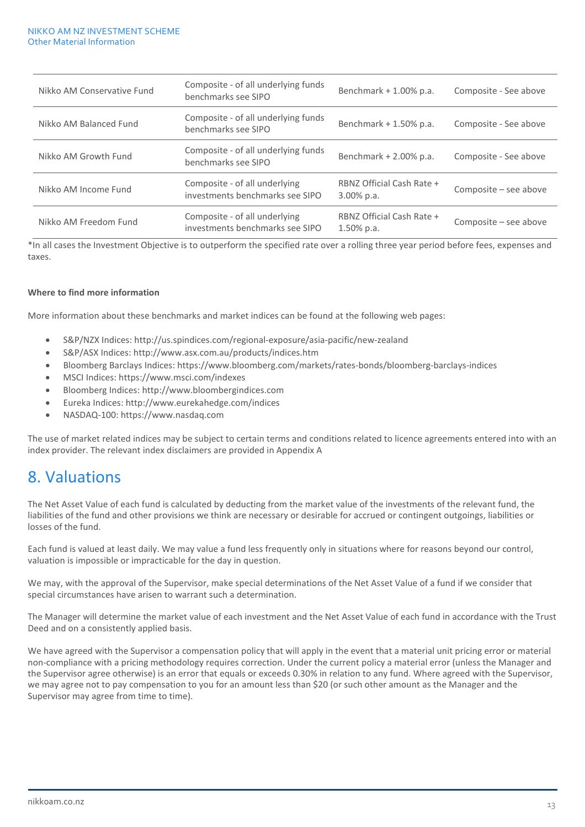| Nikko AM Conservative Fund | Composite - of all underlying funds<br>benchmarks see SIPO       | Benchmark + 1.00% p.a.                     | Composite - See above |
|----------------------------|------------------------------------------------------------------|--------------------------------------------|-----------------------|
| Nikko AM Balanced Fund     | Composite - of all underlying funds<br>benchmarks see SIPO       | Benchmark + 1.50% p.a.                     | Composite - See above |
| Nikko AM Growth Fund       | Composite - of all underlying funds<br>benchmarks see SIPO       | Benchmark + 2.00% p.a.                     | Composite - See above |
| Nikko AM Income Fund       | Composite - of all underlying<br>investments benchmarks see SIPO | RBNZ Official Cash Rate +<br>$3.00\%$ p.a. | Composite - see above |
| Nikko AM Freedom Fund      | Composite - of all underlying<br>investments benchmarks see SIPO | RBNZ Official Cash Rate +<br>$1.50\%$ p.a. | Composite - see above |

\*In all cases the Investment Objective is to outperform the specified rate over a rolling three year period before fees, expenses and taxes.

### **Where to find more information**

More information about these benchmarks and market indices can be found at the following web pages:

- S&P/NZX Indices: http://us.spindices.com/regional-exposure/asia-pacific/new-zealand
- S&P/ASX Indices: http://www.asx.com.au/products/indices.htm
- Bloomberg Barclays Indices: https://www.bloomberg.com/markets/rates-bonds/bloomberg-barclays-indices
- MSCI Indices: https://www.msci.com/indexes
- Bloomberg Indices: http://www.bloombergindices.com
- Eureka Indices: http://www.eurekahedge.com/indices
- NASDAQ-100: https://www.nasdaq.com

The use of market related indices may be subject to certain terms and conditions related to licence agreements entered into with an index provider. The relevant index disclaimers are provided in Appendix A

# 8. Valuations

The Net Asset Value of each fund is calculated by deducting from the market value of the investments of the relevant fund, the liabilities of the fund and other provisions we think are necessary or desirable for accrued or contingent outgoings, liabilities or losses of the fund.

Each fund is valued at least daily. We may value a fund less frequently only in situations where for reasons beyond our control, valuation is impossible or impracticable for the day in question.

We may, with the approval of the Supervisor, make special determinations of the Net Asset Value of a fund if we consider that special circumstances have arisen to warrant such a determination.

The Manager will determine the market value of each investment and the Net Asset Value of each fund in accordance with the Trust Deed and on a consistently applied basis.

We have agreed with the Supervisor a compensation policy that will apply in the event that a material unit pricing error or material non-compliance with a pricing methodology requires correction. Under the current policy a material error (unless the Manager and the Supervisor agree otherwise) is an error that equals or exceeds 0.30% in relation to any fund. Where agreed with the Supervisor, we may agree not to pay compensation to you for an amount less than \$20 (or such other amount as the Manager and the Supervisor may agree from time to time).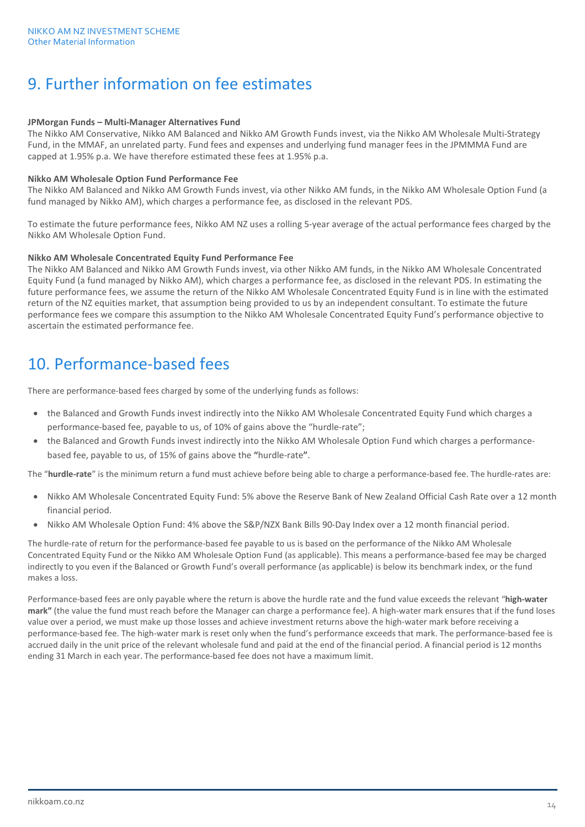# 9. Further information on fee estimates

#### **JPMorgan Funds – Multi-Manager Alternatives Fund**

The Nikko AM Conservative, Nikko AM Balanced and Nikko AM Growth Funds invest, via the Nikko AM Wholesale Multi-Strategy Fund, in the MMAF, an unrelated party. Fund fees and expenses and underlying fund manager fees in the JPMMMA Fund are capped at 1.95% p.a. We have therefore estimated these fees at 1.95% p.a.

#### **Nikko AM Wholesale Option Fund Performance Fee**

The Nikko AM Balanced and Nikko AM Growth Funds invest, via other Nikko AM funds, in the Nikko AM Wholesale Option Fund (a fund managed by Nikko AM), which charges a performance fee, as disclosed in the relevant PDS.

To estimate the future performance fees, Nikko AM NZ uses a rolling 5-year average of the actual performance fees charged by the Nikko AM Wholesale Option Fund.

#### **Nikko AM Wholesale Concentrated Equity Fund Performance Fee**

The Nikko AM Balanced and Nikko AM Growth Funds invest, via other Nikko AM funds, in the Nikko AM Wholesale Concentrated Equity Fund (a fund managed by Nikko AM), which charges a performance fee, as disclosed in the relevant PDS. In estimating the future performance fees, we assume the return of the Nikko AM Wholesale Concentrated Equity Fund is in line with the estimated return of the NZ equities market, that assumption being provided to us by an independent consultant. To estimate the future performance fees we compare this assumption to the Nikko AM Wholesale Concentrated Equity Fund's performance objective to ascertain the estimated performance fee.

# 10. Performance-based fees

There are performance-based fees charged by some of the underlying funds as follows:

- the Balanced and Growth Funds invest indirectly into the Nikko AM Wholesale Concentrated Equity Fund which charges a performance-based fee, payable to us, of 10% of gains above the "hurdle-rate";
- the Balanced and Growth Funds invest indirectly into the Nikko AM Wholesale Option Fund which charges a performancebased fee, payable to us, of 15% of gains above the **"**hurdle-rate**"**.

The "**hurdle-rate**" is the minimum return a fund must achieve before being able to charge a performance-based fee. The hurdle-rates are:

- Nikko AM Wholesale Concentrated Equity Fund: 5% above the Reserve Bank of New Zealand Official Cash Rate over a 12 month financial period.
- Nikko AM Wholesale Option Fund: 4% above the S&P/NZX Bank Bills 90-Day Index over a 12 month financial period.

The hurdle-rate of return for the performance-based fee payable to us is based on the performance of the Nikko AM Wholesale Concentrated Equity Fund or the Nikko AM Wholesale Option Fund (as applicable). This means a performance-based fee may be charged indirectly to you even if the Balanced or Growth Fund's overall performance (as applicable) is below its benchmark index, or the fund makes a loss.

Performance-based fees are only payable where the return is above the hurdle rate and the fund value exceeds the relevant "**high-water mark"** (the value the fund must reach before the Manager can charge a performance fee). A high-water mark ensures that if the fund loses value over a period, we must make up those losses and achieve investment returns above the high-water mark before receiving a performance-based fee. The high-water mark is reset only when the fund's performance exceeds that mark. The performance-based fee is accrued daily in the unit price of the relevant wholesale fund and paid at the end of the financial period. A financial period is 12 months ending 31 March in each year. The performance-based fee does not have a maximum limit.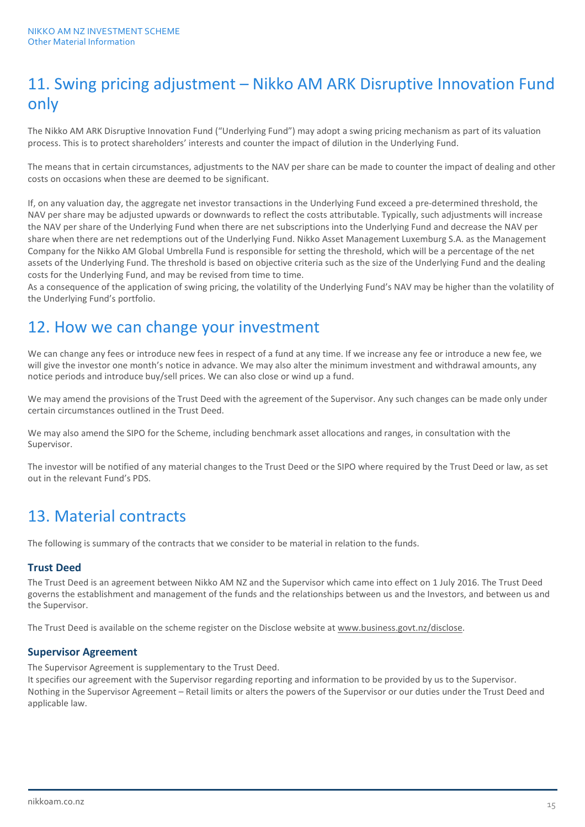# 11. Swing pricing adjustment – Nikko AM ARK Disruptive Innovation Fund only

The Nikko AM ARK Disruptive Innovation Fund ("Underlying Fund") may adopt a swing pricing mechanism as part of its valuation process. This is to protect shareholders' interests and counter the impact of dilution in the Underlying Fund.

The means that in certain circumstances, adjustments to the NAV per share can be made to counter the impact of dealing and other costs on occasions when these are deemed to be significant.

If, on any valuation day, the aggregate net investor transactions in the Underlying Fund exceed a pre-determined threshold, the NAV per share may be adjusted upwards or downwards to reflect the costs attributable. Typically, such adjustments will increase the NAV per share of the Underlying Fund when there are net subscriptions into the Underlying Fund and decrease the NAV per share when there are net redemptions out of the Underlying Fund. Nikko Asset Management Luxemburg S.A. as the Management Company for the Nikko AM Global Umbrella Fund is responsible for setting the threshold, which will be a percentage of the net assets of the Underlying Fund. The threshold is based on objective criteria such as the size of the Underlying Fund and the dealing costs for the Underlying Fund, and may be revised from time to time.

As a consequence of the application of swing pricing, the volatility of the Underlying Fund's NAV may be higher than the volatility of the Underlying Fund's portfolio.

# 12. How we can change your investment

We can change any fees or introduce new fees in respect of a fund at any time. If we increase any fee or introduce a new fee, we will give the investor one month's notice in advance. We may also alter the minimum investment and withdrawal amounts, any notice periods and introduce buy/sell prices. We can also close or wind up a fund.

We may amend the provisions of the Trust Deed with the agreement of the Supervisor. Any such changes can be made only under certain circumstances outlined in the Trust Deed.

We may also amend the SIPO for the Scheme, including benchmark asset allocations and ranges, in consultation with the Supervisor.

The investor will be notified of any material changes to the Trust Deed or the SIPO where required by the Trust Deed or law, as set out in the relevant Fund's PDS.

# 13. Material contracts

The following is summary of the contracts that we consider to be material in relation to the funds.

# **Trust Deed**

The Trust Deed is an agreement between Nikko AM NZ and the Supervisor which came into effect on 1 July 2016. The Trust Deed governs the establishment and management of the funds and the relationships between us and the Investors, and between us and the Supervisor.

The Trust Deed is available on the scheme register on the Disclose website at www.business.govt.nz/disclose.

### **Supervisor Agreement**

The Supervisor Agreement is supplementary to the Trust Deed.

It specifies our agreement with the Supervisor regarding reporting and information to be provided by us to the Supervisor. Nothing in the Supervisor Agreement – Retail limits or alters the powers of the Supervisor or our duties under the Trust Deed and applicable law.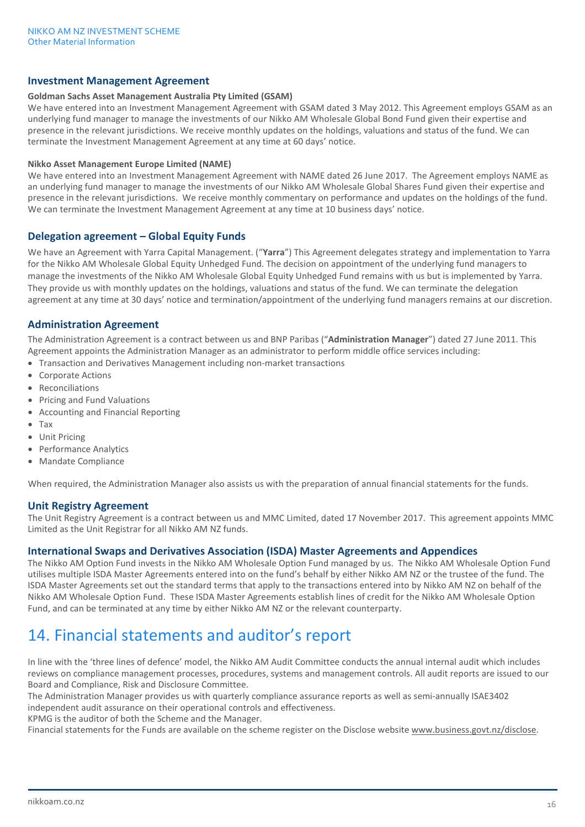### **Investment Management Agreement**

#### **Goldman Sachs Asset Management Australia Pty Limited (GSAM)**

We have entered into an Investment Management Agreement with GSAM dated 3 May 2012. This Agreement employs GSAM as an underlying fund manager to manage the investments of our Nikko AM Wholesale Global Bond Fund given their expertise and presence in the relevant jurisdictions. We receive monthly updates on the holdings, valuations and status of the fund. We can terminate the Investment Management Agreement at any time at 60 days' notice.

#### **Nikko Asset Management Europe Limited (NAME)**

We have entered into an Investment Management Agreement with NAME dated 26 June 2017. The Agreement employs NAME as an underlying fund manager to manage the investments of our Nikko AM Wholesale Global Shares Fund given their expertise and presence in the relevant jurisdictions. We receive monthly commentary on performance and updates on the holdings of the fund. We can terminate the Investment Management Agreement at any time at 10 business days' notice.

### **Delegation agreement – Global Equity Funds**

We have an Agreement with Yarra Capital Management. ("**Yarra**") This Agreement delegates strategy and implementation to Yarra for the Nikko AM Wholesale Global Equity Unhedged Fund. The decision on appointment of the underlying fund managers to manage the investments of the Nikko AM Wholesale Global Equity Unhedged Fund remains with us but is implemented by Yarra. They provide us with monthly updates on the holdings, valuations and status of the fund. We can terminate the delegation agreement at any time at 30 days' notice and termination/appointment of the underlying fund managers remains at our discretion.

### **Administration Agreement**

The Administration Agreement is a contract between us and BNP Paribas ("**Administration Manager**") dated 27 June 2011. This Agreement appoints the Administration Manager as an administrator to perform middle office services including:

- Transaction and Derivatives Management including non-market transactions
- Corporate Actions
- **Reconciliations**
- Pricing and Fund Valuations
- Accounting and Financial Reporting
- Tax
- Unit Pricing
- Performance Analytics
- Mandate Compliance

When required, the Administration Manager also assists us with the preparation of annual financial statements for the funds.

### **Unit Registry Agreement**

The Unit Registry Agreement is a contract between us and MMC Limited, dated 17 November 2017. This agreement appoints MMC Limited as the Unit Registrar for all Nikko AM NZ funds.

### **International Swaps and Derivatives Association (ISDA) Master Agreements and Appendices**

The Nikko AM Option Fund invests in the Nikko AM Wholesale Option Fund managed by us. The Nikko AM Wholesale Option Fund utilises multiple ISDA Master Agreements entered into on the fund's behalf by either Nikko AM NZ or the trustee of the fund. The ISDA Master Agreements set out the standard terms that apply to the transactions entered into by Nikko AM NZ on behalf of the Nikko AM Wholesale Option Fund. These ISDA Master Agreements establish lines of credit for the Nikko AM Wholesale Option Fund, and can be terminated at any time by either Nikko AM NZ or the relevant counterparty.

# 14. Financial statements and auditor's report

In line with the 'three lines of defence' model, the Nikko AM Audit Committee conducts the annual internal audit which includes reviews on compliance management processes, procedures, systems and management controls. All audit reports are issued to our Board and Compliance, Risk and Disclosure Committee.

The Administration Manager provides us with quarterly compliance assurance reports as well as semi-annually ISAE3402 independent audit assurance on their operational controls and effectiveness.

KPMG is the auditor of both the Scheme and the Manager.

Financial statements for the Funds are available on the scheme register on the Disclose websit[e www.business.govt.nz/disclose.](http://www.business.govt.nz/disclose)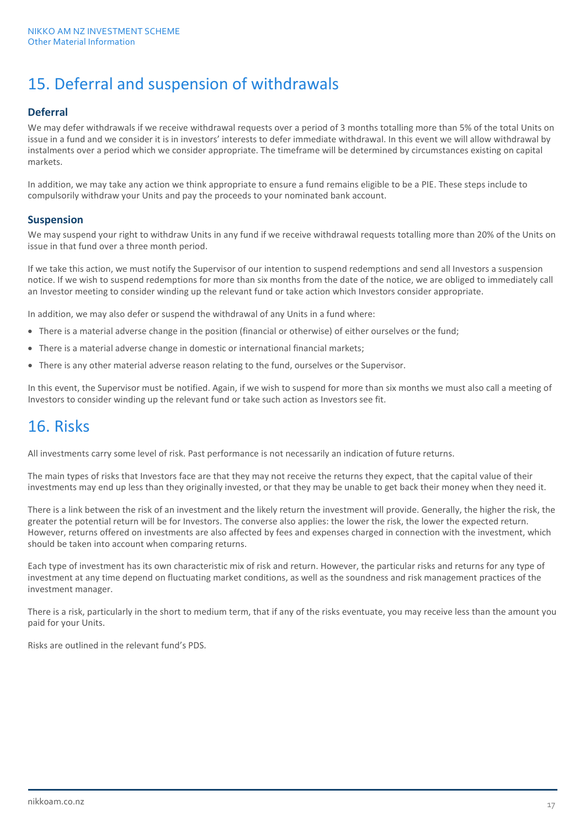# 15. Deferral and suspension of withdrawals

# **Deferral**

We may defer withdrawals if we receive withdrawal requests over a period of 3 months totalling more than 5% of the total Units on issue in a fund and we consider it is in investors' interests to defer immediate withdrawal. In this event we will allow withdrawal by instalments over a period which we consider appropriate. The timeframe will be determined by circumstances existing on capital markets.

In addition, we may take any action we think appropriate to ensure a fund remains eligible to be a PIE. These steps include to compulsorily withdraw your Units and pay the proceeds to your nominated bank account.

### **Suspension**

We may suspend your right to withdraw Units in any fund if we receive withdrawal requests totalling more than 20% of the Units on issue in that fund over a three month period.

If we take this action, we must notify the Supervisor of our intention to suspend redemptions and send all Investors a suspension notice. If we wish to suspend redemptions for more than six months from the date of the notice, we are obliged to immediately call an Investor meeting to consider winding up the relevant fund or take action which Investors consider appropriate.

In addition, we may also defer or suspend the withdrawal of any Units in a fund where:

- There is a material adverse change in the position (financial or otherwise) of either ourselves or the fund;
- There is a material adverse change in domestic or international financial markets;
- There is any other material adverse reason relating to the fund, ourselves or the Supervisor.

In this event, the Supervisor must be notified. Again, if we wish to suspend for more than six months we must also call a meeting of Investors to consider winding up the relevant fund or take such action as Investors see fit.

# 16. Risks

All investments carry some level of risk. Past performance is not necessarily an indication of future returns.

The main types of risks that Investors face are that they may not receive the returns they expect, that the capital value of their investments may end up less than they originally invested, or that they may be unable to get back their money when they need it.

There is a link between the risk of an investment and the likely return the investment will provide. Generally, the higher the risk, the greater the potential return will be for Investors. The converse also applies: the lower the risk, the lower the expected return. However, returns offered on investments are also affected by fees and expenses charged in connection with the investment, which should be taken into account when comparing returns.

Each type of investment has its own characteristic mix of risk and return. However, the particular risks and returns for any type of investment at any time depend on fluctuating market conditions, as well as the soundness and risk management practices of the investment manager.

There is a risk, particularly in the short to medium term, that if any of the risks eventuate, you may receive less than the amount you paid for your Units.

Risks are outlined in the relevant fund's PDS.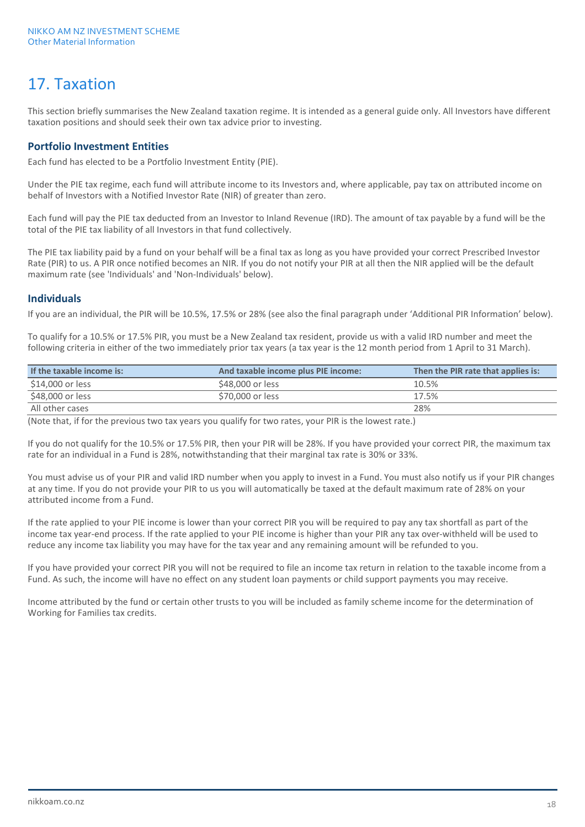# 17. Taxation

This section briefly summarises the New Zealand taxation regime. It is intended as a general guide only. All Investors have different taxation positions and should seek their own tax advice prior to investing.

### **Portfolio Investment Entities**

Each fund has elected to be a Portfolio Investment Entity (PIE).

Under the PIE tax regime, each fund will attribute income to its Investors and, where applicable, pay tax on attributed income on behalf of Investors with a Notified Investor Rate (NIR) of greater than zero.

Each fund will pay the PIE tax deducted from an Investor to Inland Revenue (IRD). The amount of tax payable by a fund will be the total of the PIE tax liability of all Investors in that fund collectively.

The PIE tax liability paid by a fund on your behalf will be a final tax as long as you have provided your correct Prescribed Investor Rate (PIR) to us. A PIR once notified becomes an NIR. If you do not notify your PIR at all then the NIR applied will be the default maximum rate (see 'Individuals' and 'Non-Individuals' below).

### **Individuals**

If you are an individual, the PIR will be 10.5%, 17.5% or 28% (see also the final paragraph under 'Additional PIR Information' below).

To qualify for a 10.5% or 17.5% PIR, you must be a New Zealand tax resident, provide us with a valid IRD number and meet the following criteria in either of the two immediately prior tax years (a tax year is the 12 month period from 1 April to 31 March).

| If the taxable income is: | And taxable income plus PIE income: | Then the PIR rate that applies is: |
|---------------------------|-------------------------------------|------------------------------------|
| \$14,000 or less          | \$48,000 or less                    | 10.5%                              |
| \$48,000 or less          | \$70,000 or less                    | 17.5%                              |
| All other cases           |                                     | 28%                                |

(Note that, if for the previous two tax years you qualify for two rates, your PIR is the lowest rate.)

If you do not qualify for the 10.5% or 17.5% PIR, then your PIR will be 28%. If you have provided your correct PIR, the maximum tax rate for an individual in a Fund is 28%, notwithstanding that their marginal tax rate is 30% or 33%.

You must advise us of your PIR and valid IRD number when you apply to invest in a Fund. You must also notify us if your PIR changes at any time. If you do not provide your PIR to us you will automatically be taxed at the default maximum rate of 28% on your attributed income from a Fund.

If the rate applied to your PIE income is lower than your correct PIR you will be required to pay any tax shortfall as part of the income tax year-end process. If the rate applied to your PIE income is higher than your PIR any tax over-withheld will be used to reduce any income tax liability you may have for the tax year and any remaining amount will be refunded to you.

If you have provided your correct PIR you will not be required to file an income tax return in relation to the taxable income from a Fund. As such, the income will have no effect on any student loan payments or child support payments you may receive.

Income attributed by the fund or certain other trusts to you will be included as family scheme income for the determination of Working for Families tax credits.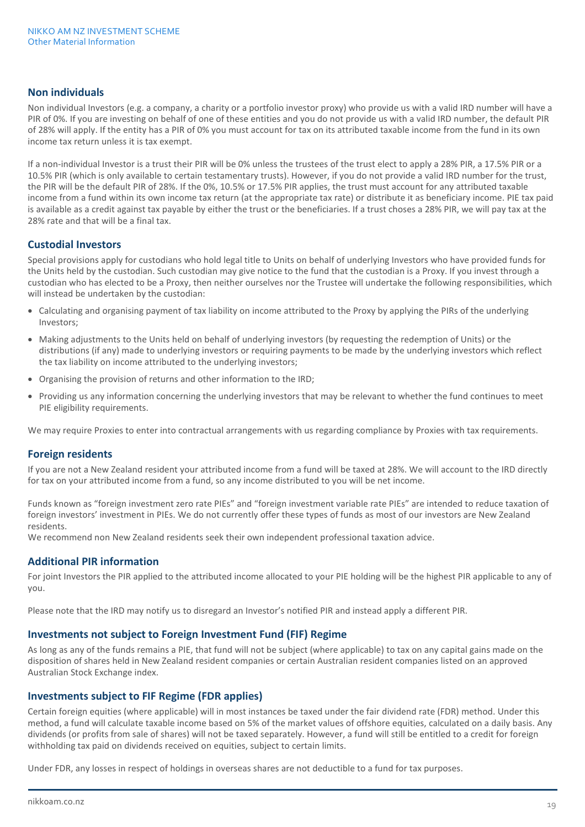### **Non individuals**

Non individual Investors (e.g. a company, a charity or a portfolio investor proxy) who provide us with a valid IRD number will have a PIR of 0%. If you are investing on behalf of one of these entities and you do not provide us with a valid IRD number, the default PIR of 28% will apply. If the entity has a PIR of 0% you must account for tax on its attributed taxable income from the fund in its own income tax return unless it is tax exempt.

If a non-individual Investor is a trust their PIR will be 0% unless the trustees of the trust elect to apply a 28% PIR, a 17.5% PIR or a 10.5% PIR (which is only available to certain testamentary trusts). However, if you do not provide a valid IRD number for the trust, the PIR will be the default PIR of 28%. If the 0%, 10.5% or 17.5% PIR applies, the trust must account for any attributed taxable income from a fund within its own income tax return (at the appropriate tax rate) or distribute it as beneficiary income. PIE tax paid is available as a credit against tax payable by either the trust or the beneficiaries. If a trust choses a 28% PIR, we will pay tax at the 28% rate and that will be a final tax.

### **Custodial Investors**

Special provisions apply for custodians who hold legal title to Units on behalf of underlying Investors who have provided funds for the Units held by the custodian. Such custodian may give notice to the fund that the custodian is a Proxy. If you invest through a custodian who has elected to be a Proxy, then neither ourselves nor the Trustee will undertake the following responsibilities, which will instead be undertaken by the custodian:

- Calculating and organising payment of tax liability on income attributed to the Proxy by applying the PIRs of the underlying Investors;
- Making adjustments to the Units held on behalf of underlying investors (by requesting the redemption of Units) or the distributions (if any) made to underlying investors or requiring payments to be made by the underlying investors which reflect the tax liability on income attributed to the underlying investors;
- Organising the provision of returns and other information to the IRD;
- Providing us any information concerning the underlying investors that may be relevant to whether the fund continues to meet PIE eligibility requirements.

We may require Proxies to enter into contractual arrangements with us regarding compliance by Proxies with tax requirements.

### **Foreign residents**

If you are not a New Zealand resident your attributed income from a fund will be taxed at 28%. We will account to the IRD directly for tax on your attributed income from a fund, so any income distributed to you will be net income.

Funds known as "foreign investment zero rate PIEs" and "foreign investment variable rate PIEs" are intended to reduce taxation of foreign investors' investment in PIEs. We do not currently offer these types of funds as most of our investors are New Zealand residents.

We recommend non New Zealand residents seek their own independent professional taxation advice.

### **Additional PIR information**

For joint Investors the PIR applied to the attributed income allocated to your PIE holding will be the highest PIR applicable to any of you.

Please note that the IRD may notify us to disregard an Investor's notified PIR and instead apply a different PIR.

### **Investments not subject to Foreign Investment Fund (FIF) Regime**

As long as any of the funds remains a PIE, that fund will not be subject (where applicable) to tax on any capital gains made on the disposition of shares held in New Zealand resident companies or certain Australian resident companies listed on an approved Australian Stock Exchange index.

### **Investments subject to FIF Regime (FDR applies)**

Certain foreign equities (where applicable) will in most instances be taxed under the fair dividend rate (FDR) method. Under this method, a fund will calculate taxable income based on 5% of the market values of offshore equities, calculated on a daily basis. Any dividends (or profits from sale of shares) will not be taxed separately. However, a fund will still be entitled to a credit for foreign withholding tax paid on dividends received on equities, subject to certain limits.

Under FDR, any losses in respect of holdings in overseas shares are not deductible to a fund for tax purposes.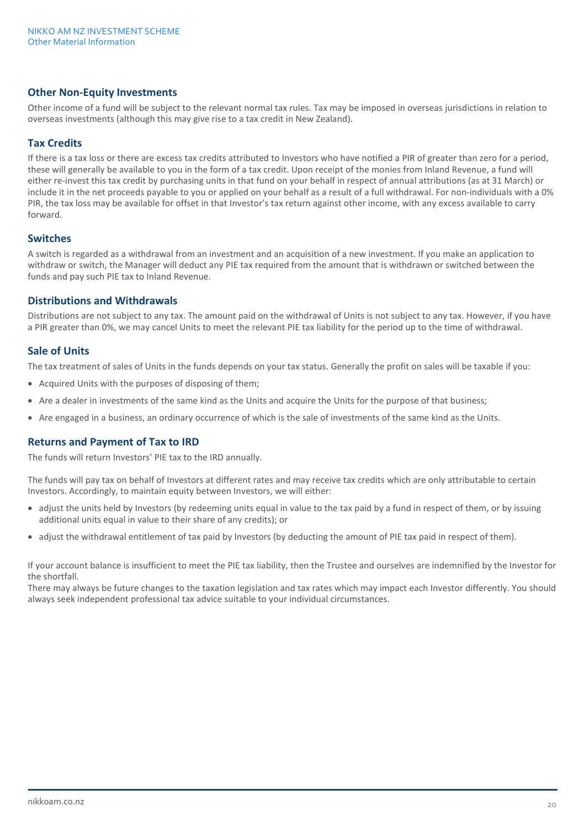### **Other Non-Equity Investments**

Other income of a fund will be subject to the relevant normal tax rules. Tax may be imposed in overseas jurisdictions in relation to overseas investments (although this may give rise to a tax credit in New Zealand).

### **Tax Credits**

If there is a tax loss or there are excess tax credits attributed to Investors who have notified a PIR of greater than zero for a period, these will generally be available to you in the form of a tax credit. Upon receipt of the monies from Inland Revenue, a fund will either re-invest this tax credit by purchasing units in that fund on your behalf in respect of annual attributions (as at 31 March) or include it in the net proceeds payable to you or applied on your behalf as a result of a full withdrawal. For non-individuals with a 0% PIR, the tax loss may be available for offset in that Investor's tax return against other income, with any excess available to carry forward.

### **Switches**

A switch is regarded as a withdrawal from an investment and an acquisition of a new investment. If you make an application to withdraw or switch, the Manager will deduct any PIE tax required from the amount that is withdrawn or switched between the funds and pay such PIE tax to Inland Revenue.

### **Distributions and Withdrawals**

Distributions are not subject to any tax. The amount paid on the withdrawal of Units is not subject to any tax. However, if you have a PIR greater than 0%, we may cancel Units to meet the relevant PIE tax liability for the period up to the time of withdrawal.

# **Sale of Units**

The tax treatment of sales of Units in the funds depends on your tax status. Generally the profit on sales will be taxable if you:

- Acquired Units with the purposes of disposing of them;
- Are a dealer in investments of the same kind as the Units and acquire the Units for the purpose of that business;
- Are engaged in a business, an ordinary occurrence of which is the sale of investments of the same kind as the Units.

# **Returns and Payment of Tax to IRD**

The funds will return Investors' PIE tax to the IRD annually.

The funds will pay tax on behalf of Investors at different rates and may receive tax credits which are only attributable to certain Investors. Accordingly, to maintain equity between Investors, we will either:

- adjust the units held by Investors (by redeeming units equal in value to the tax paid by a fund in respect of them, or by issuing additional units equal in value to their share of any credits); or
- adjust the withdrawal entitlement of tax paid by Investors (by deducting the amount of PIE tax paid in respect of them).

If your account balance is insufficient to meet the PIE tax liability, then the Trustee and ourselves are indemnified by the Investor for the shortfall.

There may always be future changes to the taxation legislation and tax rates which may impact each Investor differently. You should always seek independent professional tax advice suitable to your individual circumstances.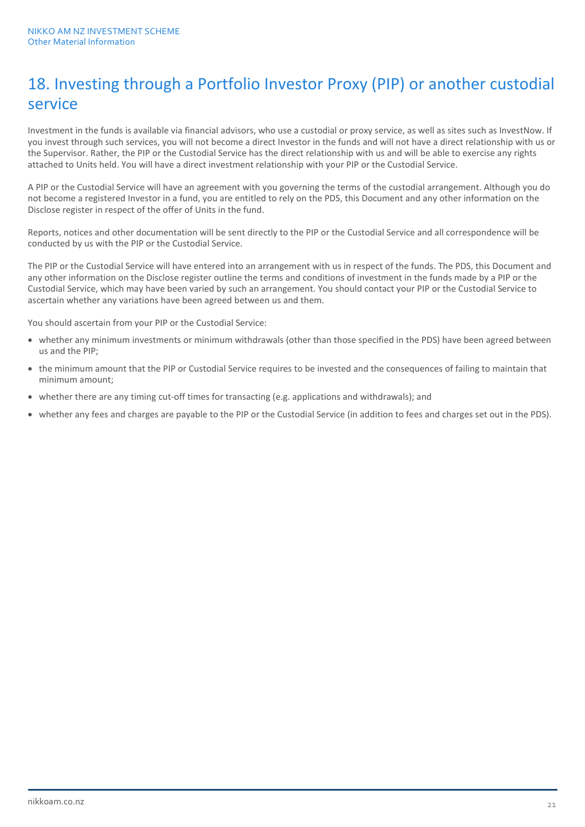# 18. Investing through a Portfolio Investor Proxy (PIP) or another custodial service

Investment in the funds is available via financial advisors, who use a custodial or proxy service, as well as sites such as InvestNow. If you invest through such services, you will not become a direct Investor in the funds and will not have a direct relationship with us or the Supervisor. Rather, the PIP or the Custodial Service has the direct relationship with us and will be able to exercise any rights attached to Units held. You will have a direct investment relationship with your PIP or the Custodial Service.

A PIP or the Custodial Service will have an agreement with you governing the terms of the custodial arrangement. Although you do not become a registered Investor in a fund, you are entitled to rely on the PDS, this Document and any other information on the Disclose register in respect of the offer of Units in the fund.

Reports, notices and other documentation will be sent directly to the PIP or the Custodial Service and all correspondence will be conducted by us with the PIP or the Custodial Service.

The PIP or the Custodial Service will have entered into an arrangement with us in respect of the funds. The PDS, this Document and any other information on the Disclose register outline the terms and conditions of investment in the funds made by a PIP or the Custodial Service, which may have been varied by such an arrangement. You should contact your PIP or the Custodial Service to ascertain whether any variations have been agreed between us and them.

You should ascertain from your PIP or the Custodial Service:

- whether any minimum investments or minimum withdrawals (other than those specified in the PDS) have been agreed between us and the PIP;
- the minimum amount that the PIP or Custodial Service requires to be invested and the consequences of failing to maintain that minimum amount;
- whether there are any timing cut-off times for transacting (e.g. applications and withdrawals); and
- whether any fees and charges are payable to the PIP or the Custodial Service (in addition to fees and charges set out in the PDS).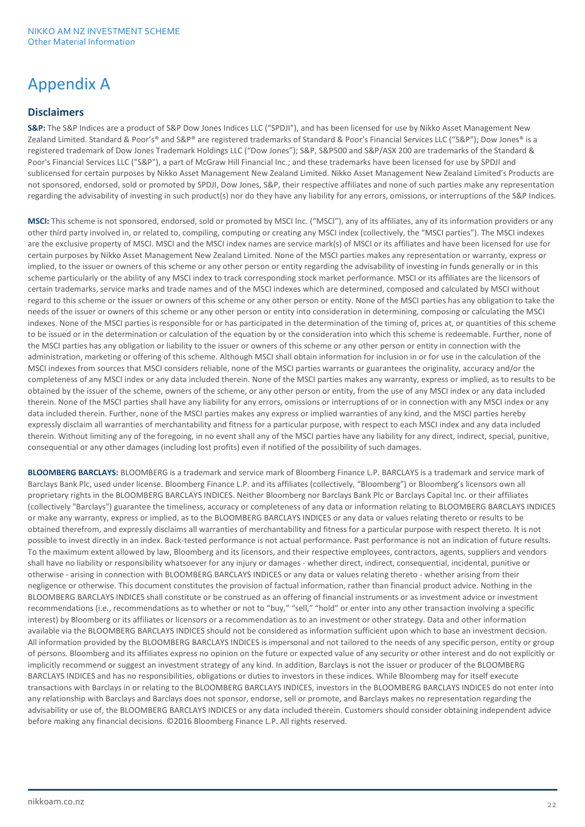# Appendix A

# **Disclaimers**

**S&P:** The S&P Indices are a product of S&P Dow Jones Indices LLC ("SPDJI"), and has been licensed for use by Nikko Asset Management New Zealand Limited. Standard & Poor's® and S&P® are registered trademarks of Standard & Poor's Financial Services LLC ("S&P"); Dow Jones® is a registered trademark of Dow Jones Trademark Holdings LLC ("Dow Jones"); S&P, S&P500 and S&P/ASX 200 are trademarks of the Standard & Poor's Financial Services LLC ("S&P"), a part of McGraw Hill Financial Inc.; and these trademarks have been licensed for use by SPDJI and sublicensed for certain purposes by Nikko Asset Management New Zealand Limited. Nikko Asset Management New Zealand Limited's Products are not sponsored, endorsed, sold or promoted by SPDJI, Dow Jones, S&P, their respective affiliates and none of such parties make any representation regarding the advisability of investing in such product(s) nor do they have any liability for any errors, omissions, or interruptions of the S&P Indices.

**MSCI:** This scheme is not sponsored, endorsed, sold or promoted by MSCI Inc. ("MSCI"), any of its affiliates, any of its information providers or any other third party involved in, or related to, compiling, computing or creating any MSCI index (collectively, the "MSCI parties"). The MSCI indexes are the exclusive property of MSCI. MSCI and the MSCI index names are service mark(s) of MSCI or its affiliates and have been licensed for use for certain purposes by Nikko Asset Management New Zealand Limited. None of the MSCI parties makes any representation or warranty, express or implied, to the issuer or owners of this scheme or any other person or entity regarding the advisability of investing in funds generally or in this scheme particularly or the ability of any MSCI index to track corresponding stock market performance. MSCI or its affiliates are the licensors of certain trademarks, service marks and trade names and of the MSCI indexes which are determined, composed and calculated by MSCI without regard to this scheme or the issuer or owners of this scheme or any other person or entity. None of the MSCI parties has any obligation to take the needs of the issuer or owners of this scheme or any other person or entity into consideration in determining, composing or calculating the MSCI indexes. None of the MSCI parties is responsible for or has participated in the determination of the timing of, prices at, or quantities of this scheme to be issued or in the determination or calculation of the equation by or the consideration into which this scheme is redeemable. Further, none of the MSCI parties has any obligation or liability to the issuer or owners of this scheme or any other person or entity in connection with the administration, marketing or offering of this scheme. Although MSCI shall obtain information for inclusion in or for use in the calculation of the MSCI indexes from sources that MSCI considers reliable, none of the MSCI parties warrants or guarantees the originality, accuracy and/or the completeness of any MSCI index or any data included therein. None of the MSCI parties makes any warranty, express or implied, as to results to be obtained by the issuer of the scheme, owners of the scheme, or any other person or entity, from the use of any MSCI index or any data included therein. None of the MSCI parties shall have any liability for any errors, omissions or interruptions of or in connection with any MSCI index or any data included therein. Further, none of the MSCI parties makes any express or implied warranties of any kind, and the MSCI parties hereby expressly disclaim all warranties of merchantability and fitness for a particular purpose, with respect to each MSCI index and any data included therein. Without limiting any of the foregoing, in no event shall any of the MSCI parties have any liability for any direct, indirect, special, punitive, consequential or any other damages (including lost profits) even if notified of the possibility of such damages.

**BLOOMBERG BARCLAYS:** BLOOMBERG is a trademark and service mark of Bloomberg Finance L.P. BARCLAYS is a trademark and service mark of Barclays Bank Plc, used under license. Bloomberg Finance L.P. and its affiliates (collectively, "Bloomberg") or Bloomberg's licensors own all proprietary rights in the BLOOMBERG BARCLAYS INDICES. Neither Bloomberg nor Barclays Bank Plc or Barclays Capital Inc. or their affiliates (collectively "Barclays") guarantee the timeliness, accuracy or completeness of any data or information relating to BLOOMBERG BARCLAYS INDICES or make any warranty, express or implied, as to the BLOOMBERG BARCLAYS INDICES or any data or values relating thereto or results to be obtained therefrom, and expressly disclaims all warranties of merchantability and fitness for a particular purpose with respect thereto. It is not possible to invest directly in an index. Back-tested performance is not actual performance. Past performance is not an indication of future results. To the maximum extent allowed by law, Bloomberg and its licensors, and their respective employees, contractors, agents, suppliers and vendors shall have no liability or responsibility whatsoever for any injury or damages - whether direct, indirect, consequential, incidental, punitive or otherwise - arising in connection with BLOOMBERG BARCLAYS INDICES or any data or values relating thereto - whether arising from their negligence or otherwise. This document constitutes the provision of factual information, rather than financial product advice. Nothing in the BLOOMBERG BARCLAYS INDICES shall constitute or be construed as an offering of financial instruments or as investment advice or investment recommendations (i.e., recommendations as to whether or not to "buy," "sell," "hold" or enter into any other transaction involving a specific interest) by Bloomberg or its affiliates or licensors or a recommendation as to an investment or other strategy. Data and other information available via the BLOOMBERG BARCLAYS INDICES should not be considered as information sufficient upon which to base an investment decision. All information provided by the BLOOMBERG BARCLAYS INDICES is impersonal and not tailored to the needs of any specific person, entity or group of persons. Bloomberg and its affiliates express no opinion on the future or expected value of any security or other interest and do not explicitly or implicitly recommend or suggest an investment strategy of any kind. In addition, Barclays is not the issuer or producer of the BLOOMBERG BARCLAYS INDICES and has no responsibilities, obligations or duties to investors in these indices. While Bloomberg may for itself execute transactions with Barclays in or relating to the BLOOMBERG BARCLAYS INDICES, investors in the BLOOMBERG BARCLAYS INDICES do not enter into any relationship with Barclays and Barclays does not sponsor, endorse, sell or promote, and Barclays makes no representation regarding the advisability or use of, the BLOOMBERG BARCLAYS INDICES or any data included therein. Customers should consider obtaining independent advice before making any financial decisions. ©2016 Bloomberg Finance L.P. All rights reserved.